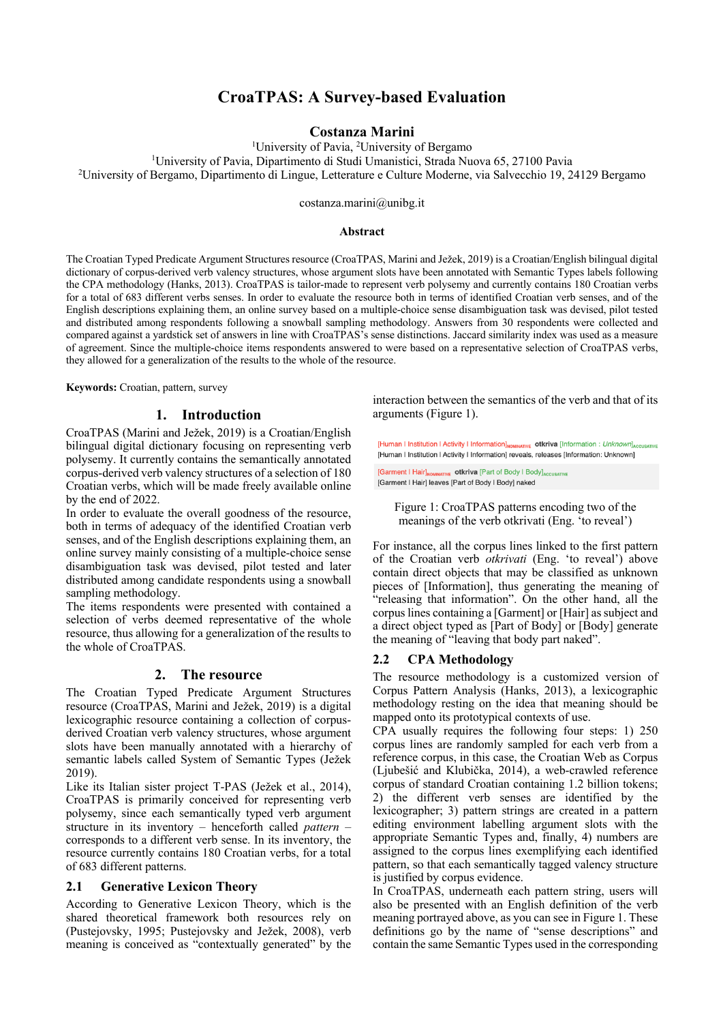# **CroaTPAS: A Survey-based Evaluation**

## **Costanza Marini**

<sup>1</sup>University of Pavia, <sup>2</sup>University of Bergamo

1 University of Pavia, Dipartimento di Studi Umanistici, Strada Nuova 65, 27100 Pavia 2

University of Bergamo, Dipartimento di Lingue, Letterature e Culture Moderne, via Salvecchio 19, 24129 Bergamo

costanza.marini@unibg.it

### **Abstract**

The Croatian Typed Predicate Argument Structures resource (CroaTPAS, Marini and Ježek, 2019) is a Croatian/English bilingual digital dictionary of corpus-derived verb valency structures, whose argument slots have been annotated with Semantic Types labels following the CPA methodology (Hanks, 2013). CroaTPAS is tailor-made to represent verb polysemy and currently contains 180 Croatian verbs for a total of 683 different verbs senses. In order to evaluate the resource both in terms of identified Croatian verb senses, and of the English descriptions explaining them, an online survey based on a multiple-choice sense disambiguation task was devised, pilot tested and distributed among respondents following a snowball sampling methodology. Answers from 30 respondents were collected and compared against a yardstick set of answers in line with CroaTPAS's sense distinctions. Jaccard similarity index was used as a measure of agreement. Since the multiple-choice items respondents answered to were based on a representative selection of CroaTPAS verbs, they allowed for a generalization of the results to the whole of the resource.

**Keywords:** Croatian, pattern, survey

### **1. Introduction**

CroaTPAS (Marini and Ježek, 2019) is a Croatian/English bilingual digital dictionary focusing on representing verb polysemy. It currently contains the semantically annotated corpus-derived verb valency structures of a selection of 180 Croatian verbs, which will be made freely available online by the end of 2022.

In order to evaluate the overall goodness of the resource, both in terms of adequacy of the identified Croatian verb senses, and of the English descriptions explaining them, an online survey mainly consisting of a multiple-choice sense disambiguation task was devised, pilot tested and later distributed among candidate respondents using a snowball sampling methodology.

The items respondents were presented with contained a selection of verbs deemed representative of the whole resource, thus allowing for a generalization of the results to the whole of CroaTPAS.

#### **2. The resource**

The Croatian Typed Predicate Argument Structures resource (CroaTPAS, Marini and Ježek, 2019) is a digital lexicographic resource containing a collection of corpusderived Croatian verb valency structures, whose argument slots have been manually annotated with a hierarchy of semantic labels called System of Semantic Types (Ježek 2019).

Like its Italian sister project T-PAS (Ježek et al., 2014), CroaTPAS is primarily conceived for representing verb polysemy, since each semantically typed verb argument structure in its inventory – henceforth called *pattern* – corresponds to a different verb sense. In its inventory, the resource currently contains 180 Croatian verbs, for a total of 683 different patterns.

### **2.1 Generative Lexicon Theory**

According to Generative Lexicon Theory, which is the shared theoretical framework both resources rely on (Pustejovsky, 1995; Pustejovsky and Ježek, 2008), verb meaning is conceived as "contextually generated" by the

interaction between the semantics of the verb and that of its arguments (Figure 1).

[Human I Institution I Activity I Information]<sub>NOMINATIVE</sub> otkriva [Information : Unknown]<sub>ACCUSATIVE</sub> [Human I Institution I Activity I Information] reveals, releases [Information: Unknown]

[Garment | Hair]<sub>NOMINATIVE</sub> otkriva [Part of Body | Body]<sub>ACCUSATIV</sub> [Garment | Hair] leaves [Part of Body | Body] naked

Figure 1: CroaTPAS patterns encoding two of the meanings of the verb otkrivati (Eng. 'to reveal')

For instance, all the corpus lines linked to the first pattern of the Croatian verb *otkrivati* (Eng. 'to reveal') above contain direct objects that may be classified as unknown pieces of [Information], thus generating the meaning of "releasing that information". On the other hand, all the corpus lines containing a [Garment] or [Hair] as subject and a direct object typed as [Part of Body] or [Body] generate the meaning of "leaving that body part naked".

## **2.2 CPA Methodology**

The resource methodology is a customized version of Corpus Pattern Analysis (Hanks, 2013), a lexicographic methodology resting on the idea that meaning should be mapped onto its prototypical contexts of use.

CPA usually requires the following four steps: 1) 250 corpus lines are randomly sampled for each verb from a reference corpus, in this case, the Croatian Web as Corpus (Ljubešić and Klubička, 2014), a web-crawled reference corpus of standard Croatian containing 1.2 billion tokens; 2) the different verb senses are identified by the lexicographer; 3) pattern strings are created in a pattern editing environment labelling argument slots with the appropriate Semantic Types and, finally, 4) numbers are assigned to the corpus lines exemplifying each identified pattern, so that each semantically tagged valency structure is justified by corpus evidence.

In CroaTPAS, underneath each pattern string, users will also be presented with an English definition of the verb meaning portrayed above, as you can see in Figure 1. These definitions go by the name of "sense descriptions" and contain the same Semantic Types used in the corresponding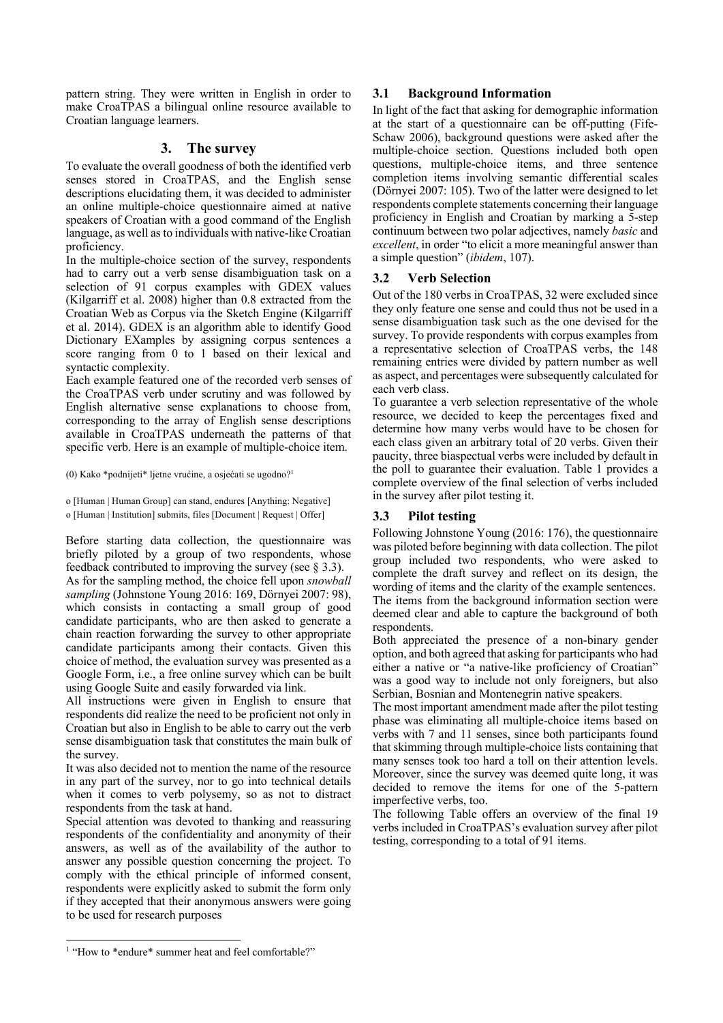pattern string. They were written in English in order to make CroaTPAS a bilingual online resource available to Croatian language learners.

## **3. The survey**

To evaluate the overall goodness of both the identified verb senses stored in CroaTPAS, and the English sense descriptions elucidating them, it was decided to administer an online multiple-choice questionnaire aimed at native speakers of Croatian with a good command of the English language, as well as to individuals with native-like Croatian proficiency.

In the multiple-choice section of the survey, respondents had to carry out a verb sense disambiguation task on a selection of 91 corpus examples with GDEX values (Kilgarriff et al. 2008) higher than 0.8 extracted from the Croatian Web as Corpus via the Sketch Engine (Kilgarriff et al. 2014). GDEX is an algorithm able to identify Good Dictionary EXamples by assigning corpus sentences a score ranging from 0 to 1 based on their lexical and syntactic complexity.

Each example featured one of the recorded verb senses of the CroaTPAS verb under scrutiny and was followed by English alternative sense explanations to choose from, corresponding to the array of English sense descriptions available in CroaTPAS underneath the patterns of that specific verb. Here is an example of multiple-choice item.

(0) Kako \*podnijeti\* ljetne vrućine, a osjećati se ugodno?1

o [Human | Human Group] can stand, endures [Anything: Negative]

o [Human | Institution] submits, files [Document | Request | Offer]

Before starting data collection, the questionnaire was briefly piloted by a group of two respondents, whose feedback contributed to improving the survey (see  $\S$  3.3). As for the sampling method, the choice fell upon *snowball sampling* (Johnstone Young 2016: 169, Dörnyei 2007: 98), which consists in contacting a small group of good candidate participants, who are then asked to generate a chain reaction forwarding the survey to other appropriate candidate participants among their contacts. Given this choice of method, the evaluation survey was presented as a Google Form, i.e., a free online survey which can be built using Google Suite and easily forwarded via link.

All instructions were given in English to ensure that respondents did realize the need to be proficient not only in Croatian but also in English to be able to carry out the verb sense disambiguation task that constitutes the main bulk of the survey.

It was also decided not to mention the name of the resource in any part of the survey, nor to go into technical details when it comes to verb polysemy, so as not to distract respondents from the task at hand.

Special attention was devoted to thanking and reassuring respondents of the confidentiality and anonymity of their answers, as well as of the availability of the author to answer any possible question concerning the project. To comply with the ethical principle of informed consent, respondents were explicitly asked to submit the form only if they accepted that their anonymous answers were going to be used for research purposes

## **3.1 Background Information**

In light of the fact that asking for demographic information at the start of a questionnaire can be off-putting (Fife-Schaw 2006), background questions were asked after the multiple-choice section. Questions included both open questions, multiple-choice items, and three sentence completion items involving semantic differential scales (Dörnyei 2007: 105). Two of the latter were designed to let respondents complete statements concerning their language proficiency in English and Croatian by marking a 5-step continuum between two polar adjectives, namely *basic* and *excellent*, in order "to elicit a more meaningful answer than a simple question" (*ibidem*, 107).

## **3.2 Verb Selection**

Out of the 180 verbs in CroaTPAS, 32 were excluded since they only feature one sense and could thus not be used in a sense disambiguation task such as the one devised for the survey. To provide respondents with corpus examples from a representative selection of CroaTPAS verbs, the 148 remaining entries were divided by pattern number as well as aspect, and percentages were subsequently calculated for each verb class.

To guarantee a verb selection representative of the whole resource, we decided to keep the percentages fixed and determine how many verbs would have to be chosen for each class given an arbitrary total of 20 verbs. Given their paucity, three biaspectual verbs were included by default in the poll to guarantee their evaluation. Table 1 provides a complete overview of the final selection of verbs included in the survey after pilot testing it.

## **3.3 Pilot testing**

Following Johnstone Young (2016: 176), the questionnaire was piloted before beginning with data collection. The pilot group included two respondents, who were asked to complete the draft survey and reflect on its design, the wording of items and the clarity of the example sentences. The items from the background information section were deemed clear and able to capture the background of both respondents.

Both appreciated the presence of a non-binary gender option, and both agreed that asking for participants who had either a native or "a native-like proficiency of Croatian" was a good way to include not only foreigners, but also Serbian, Bosnian and Montenegrin native speakers.

The most important amendment made after the pilot testing phase was eliminating all multiple-choice items based on verbs with 7 and 11 senses, since both participants found that skimming through multiple-choice lists containing that many senses took too hard a toll on their attention levels. Moreover, since the survey was deemed quite long, it was decided to remove the items for one of the 5-pattern imperfective verbs, too.

The following Table offers an overview of the final 19 verbs included in CroaTPAS's evaluation survey after pilot testing, corresponding to a total of 91 items.

<sup>&</sup>lt;sup>1</sup> "How to \*endure\* summer heat and feel comfortable?"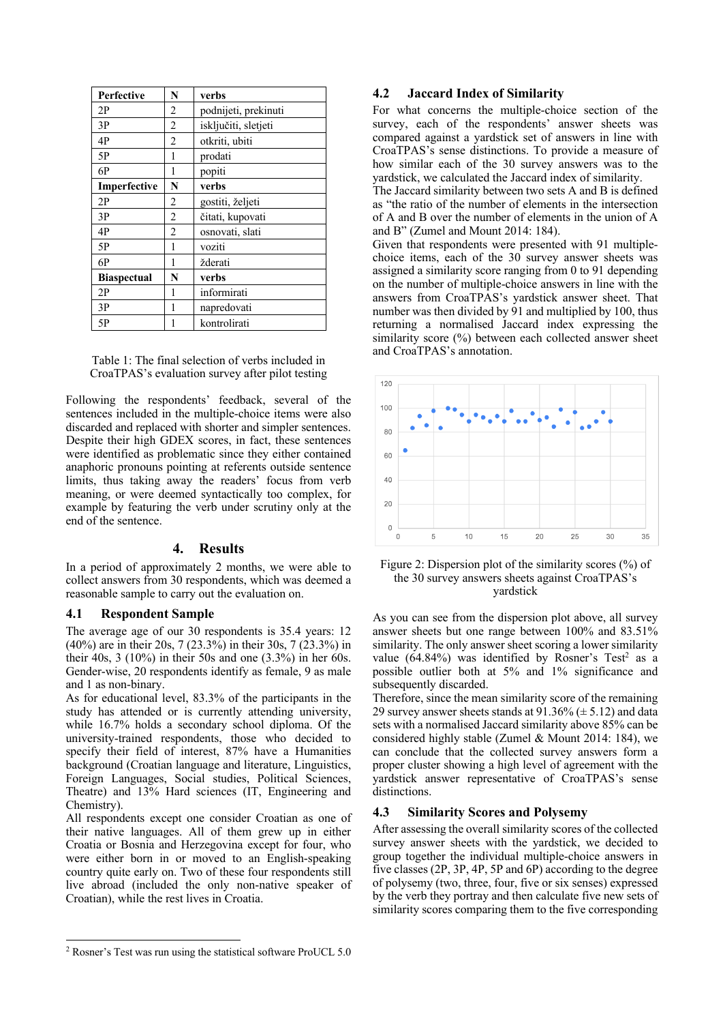| <b>Perfective</b>  | N              | verbs                |
|--------------------|----------------|----------------------|
| 2P                 | 2              | podnijeti, prekinuti |
| 3P                 | 2              | isključiti, sletjeti |
| 4P                 | 2              | otkriti, ubiti       |
| 5P                 | 1              | prodati              |
| 6P                 | 1              | popiti               |
| Imperfective       | N              | verbs                |
| 2P                 | $\overline{2}$ | gostiti, željeti     |
| 3P                 | 2              | čitati, kupovati     |
| 4P                 | 2              | osnovati, slati      |
| 5P                 | 1              | voziti               |
| 6P                 | 1              | žderati              |
| <b>Biaspectual</b> | N              | verbs                |
| 2P                 | 1              | informirati          |
| 3P                 | 1              | napredovati          |
| 5P                 | 1              | kontrolirati         |

Table 1: The final selection of verbs included in CroaTPAS's evaluation survey after pilot testing

Following the respondents' feedback, several of the sentences included in the multiple-choice items were also discarded and replaced with shorter and simpler sentences. Despite their high GDEX scores, in fact, these sentences were identified as problematic since they either contained anaphoric pronouns pointing at referents outside sentence limits, thus taking away the readers' focus from verb meaning, or were deemed syntactically too complex, for example by featuring the verb under scrutiny only at the end of the sentence.

## **4. Results**

In a period of approximately 2 months, we were able to collect answers from 30 respondents, which was deemed a reasonable sample to carry out the evaluation on.

### **4.1 Respondent Sample**

The average age of our 30 respondents is 35.4 years: 12 (40%) are in their 20s, 7 (23.3%) in their 30s, 7 (23.3%) in their 40s, 3 (10%) in their 50s and one (3.3%) in her 60s. Gender-wise, 20 respondents identify as female, 9 as male and 1 as non-binary.

As for educational level, 83.3% of the participants in the study has attended or is currently attending university, while 16.7% holds a secondary school diploma. Of the university-trained respondents, those who decided to specify their field of interest, 87% have a Humanities background (Croatian language and literature, Linguistics, Foreign Languages, Social studies, Political Sciences, Theatre) and 13% Hard sciences (IT, Engineering and Chemistry).

All respondents except one consider Croatian as one of their native languages. All of them grew up in either Croatia or Bosnia and Herzegovina except for four, who were either born in or moved to an English-speaking country quite early on. Two of these four respondents still live abroad (included the only non-native speaker of Croatian), while the rest lives in Croatia.

choice items, each of the 30 survey answer sheets was assigned a similarity score ranging from 0 to 91 depending on the number of multiple-choice answers in line with the answers from CroaTPAS's yardstick answer sheet. That number was then divided by 91 and multiplied by 100, thus returning a normalised Jaccard index expressing the similarity score (%) between each collected answer sheet and CroaTPAS's annotation.

Given that respondents were presented with 91 multiple-

For what concerns the multiple-choice section of the survey, each of the respondents' answer sheets was compared against a yardstick set of answers in line with CroaTPAS's sense distinctions. To provide a measure of how similar each of the 30 survey answers was to the yardstick, we calculated the Jaccard index of similarity. The Jaccard similarity between two sets A and B is defined as "the ratio of the number of elements in the intersection of A and B over the number of elements in the union of A

**4.2 Jaccard Index of Similarity**

and B" (Zumel and Mount 2014: 184).



Figure 2: Dispersion plot of the similarity scores (%) of the 30 survey answers sheets against CroaTPAS's yardstick

As you can see from the dispersion plot above, all survey answer sheets but one range between 100% and 83.51% similarity. The only answer sheet scoring a lower similarity value  $(64.84\%)$  was identified by Rosner's Test<sup>2</sup> as a possible outlier both at 5% and 1% significance and subsequently discarded.

Therefore, since the mean similarity score of the remaining 29 survey answer sheets stands at  $91.36\% (\pm 5.12)$  and data sets with a normalised Jaccard similarity above 85% can be considered highly stable (Zumel & Mount 2014: 184), we can conclude that the collected survey answers form a proper cluster showing a high level of agreement with the yardstick answer representative of CroaTPAS's sense distinctions.

### **4.3 Similarity Scores and Polysemy**

After assessing the overall similarity scores of the collected survey answer sheets with the yardstick, we decided to group together the individual multiple-choice answers in five classes (2P, 3P, 4P, 5P and 6P) according to the degree of polysemy (two, three, four, five or six senses) expressed by the verb they portray and then calculate five new sets of similarity scores comparing them to the five corresponding

<sup>2</sup> Rosner's Test was run using the statistical software ProUCL 5.0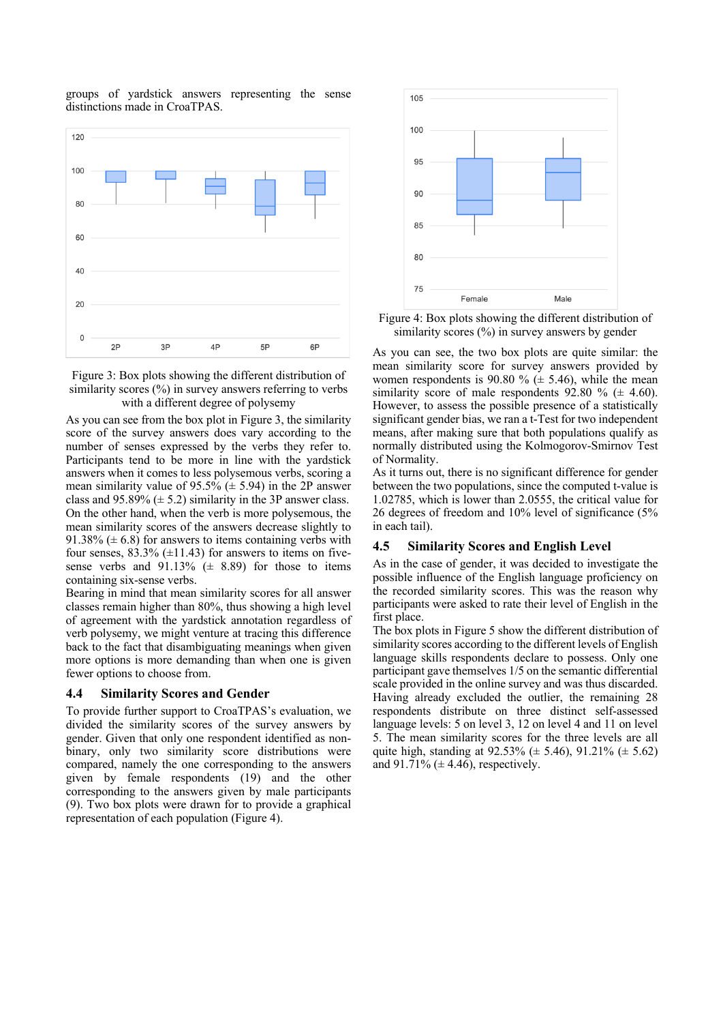groups of yardstick answers representing the sense distinctions made in CroaTPAS.





As you can see from the box plot in Figure 3, the similarity score of the survey answers does vary according to the number of senses expressed by the verbs they refer to. Participants tend to be more in line with the yardstick answers when it comes to less polysemous verbs, scoring a mean similarity value of 95.5% ( $\pm$  5.94) in the 2P answer class and  $95.89\%$  ( $\pm$  5.2) similarity in the 3P answer class. On the other hand, when the verb is more polysemous, the mean similarity scores of the answers decrease slightly to 91.38% ( $\pm$  6.8) for answers to items containing verbs with four senses,  $83.3\%$  ( $\pm$ 11.43) for answers to items on fivesense verbs and  $91.13\%$  ( $\pm$  8.89) for those to items containing six-sense verbs.

Bearing in mind that mean similarity scores for all answer classes remain higher than 80%, thus showing a high level of agreement with the yardstick annotation regardless of verb polysemy, we might venture at tracing this difference back to the fact that disambiguating meanings when given more options is more demanding than when one is given fewer options to choose from.

#### **4.4 Similarity Scores and Gender**

To provide further support to CroaTPAS's evaluation, we divided the similarity scores of the survey answers by gender. Given that only one respondent identified as nonbinary, only two similarity score distributions were compared, namely the one corresponding to the answers given by female respondents (19) and the other corresponding to the answers given by male participants (9). Two box plots were drawn for to provide a graphical representation of each population (Figure 4).



Figure 4: Box plots showing the different distribution of similarity scores (%) in survey answers by gender

As you can see, the two box plots are quite similar: the mean similarity score for survey answers provided by women respondents is 90.80 %  $(\pm 5.46)$ , while the mean similarity score of male respondents  $92.80 \%$  ( $\pm$  4.60). However, to assess the possible presence of a statistically significant gender bias, we ran a t-Test for two independent means, after making sure that both populations qualify as normally distributed using the Kolmogorov-Smirnov Test of Normality.

As it turns out, there is no significant difference for gender between the two populations, since the computed t-value is 1.02785, which is lower than 2.0555, the critical value for 26 degrees of freedom and 10% level of significance (5% in each tail).

#### **4.5 Similarity Scores and English Level**

As in the case of gender, it was decided to investigate the possible influence of the English language proficiency on the recorded similarity scores. This was the reason why participants were asked to rate their level of English in the first place.

The box plots in Figure 5 show the different distribution of similarity scores according to the different levels of English language skills respondents declare to possess. Only one participant gave themselves 1/5 on the semantic differential scale provided in the online survey and was thus discarded. Having already excluded the outlier, the remaining 28 respondents distribute on three distinct self-assessed language levels: 5 on level 3, 12 on level 4 and 11 on level 5. The mean similarity scores for the three levels are all quite high, standing at  $92.53\%$  ( $\pm$  5.46),  $91.21\%$  ( $\pm$  5.62) and  $91.71\%$  ( $\pm$  4.46), respectively.